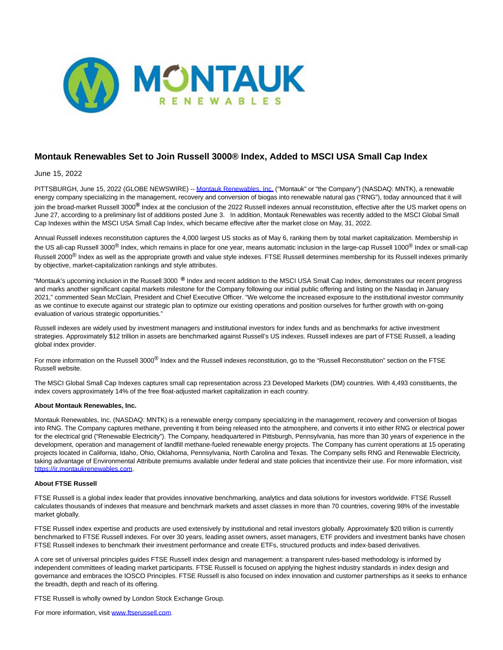

# **Montauk Renewables Set to Join Russell 3000® Index, Added to MSCI USA Small Cap Index**

## June 15, 2022

PITTSBURGH, June 15, 2022 (GLOBE NEWSWIRE) -[- Montauk Renewables, Inc. \(](https://www.globenewswire.com/Tracker?data=fTRy4wHfMazudtHemGTN2FmK8CVcc7iu38-zZmxmMNASZvJcTc3exLKG_n56ktBeu8Eb2aIWb8iv3ayPogxiEeR5gaPtaxhjZ8TeEDDzSew=)"Montauk" or "the Company") (NASDAQ: MNTK), a renewable energy company specializing in the management, recovery and conversion of biogas into renewable natural gas ("RNG"), today announced that it will join the broad-market Russell 3000**®** Index at the conclusion of the 2022 Russell indexes annual reconstitution, effective after the US market opens on June 27, according to a preliminary list of additions posted June 3. In addition, Montauk Renewables was recently added to the MSCI Global Small Cap Indexes within the MSCI USA Small Cap Index, which became effective after the market close on May, 31, 2022.

Annual Russell indexes reconstitution captures the 4,000 largest US stocks as of May 6, ranking them by total market capitalization. Membership in the US all-cap Russell 3000<sup>®</sup> Index, which remains in place for one year, means automatic inclusion in the large-cap Russell 1000<sup>®</sup> Index or small-cap Russell 2000<sup>®</sup> Index as well as the appropriate growth and value style indexes. FTSE Russell determines membership for its Russell indexes primarily by objective, market-capitalization rankings and style attributes.

"Montauk's upcoming inclusion in the Russell 3000 **®** Index and recent addition to the MSCI USA Small Cap Index, demonstrates our recent progress and marks another significant capital markets milestone for the Company following our initial public offering and listing on the Nasdaq in January 2021," commented Sean McClain, President and Chief Executive Officer. "We welcome the increased exposure to the institutional investor community as we continue to execute against our strategic plan to optimize our existing operations and position ourselves for further growth with on-going evaluation of various strategic opportunities."

Russell indexes are widely used by investment managers and institutional investors for index funds and as benchmarks for active investment strategies. Approximately \$12 trillion in assets are benchmarked against Russell's US indexes. Russell indexes are part of FTSE Russell, a leading global index provider.

For more information on the Russell 3000<sup>®</sup> Index and the Russell indexes reconstitution, go to the "Russell Reconstitution" section on the FTSE Russell website.

The MSCI Global Small Cap Indexes captures small cap representation across 23 Developed Markets (DM) countries. With 4,493 constituents, the index covers approximately 14% of the free float-adjusted market capitalization in each country.

#### **About Montauk Renewables, Inc.**

Montauk Renewables, Inc. (NASDAQ: MNTK) is a renewable energy company specializing in the management, recovery and conversion of biogas into RNG. The Company captures methane, preventing it from being released into the atmosphere, and converts it into either RNG or electrical power for the electrical grid ("Renewable Electricity"). The Company, headquartered in Pittsburgh, Pennsylvania, has more than 30 years of experience in the development, operation and management of landfill methane-fueled renewable energy projects. The Company has current operations at 15 operating projects located in California, Idaho, Ohio, Oklahoma, Pennsylvania, North Carolina and Texas. The Company sells RNG and Renewable Electricity, taking advantage of Environmental Attribute premiums available under federal and state policies that incentivize their use. For more information, visit [https://ir.montaukrenewables.com.](https://www.globenewswire.com/Tracker?data=b9cbHJm3C0GoFT_QAfcmZK1b2RA-pQipthqmZo-gF1X_sS67FuEreZXxc4M4DlJW5B-fEYsJmvUtoRYwUSJ3H9pwVADMqWTwYwrx9W5N0yqeWNMDFK4NaWN2wsKSIQ6A)

### **About FTSE Russell**

FTSE Russell is a global index leader that provides innovative benchmarking, analytics and data solutions for investors worldwide. FTSE Russell calculates thousands of indexes that measure and benchmark markets and asset classes in more than 70 countries, covering 98% of the investable market globally.

FTSE Russell index expertise and products are used extensively by institutional and retail investors globally. Approximately \$20 trillion is currently benchmarked to FTSE Russell indexes. For over 30 years, leading asset owners, asset managers, ETF providers and investment banks have chosen FTSE Russell indexes to benchmark their investment performance and create ETFs, structured products and index-based derivatives.

A core set of universal principles guides FTSE Russell index design and management: a transparent rules-based methodology is informed by independent committees of leading market participants. FTSE Russell is focused on applying the highest industry standards in index design and governance and embraces the IOSCO Principles. FTSE Russell is also focused on index innovation and customer partnerships as it seeks to enhance the breadth, depth and reach of its offering.

FTSE Russell is wholly owned by London Stock Exchange Group.

For more information, visit [www.ftserussell.com.](https://www.globenewswire.com/Tracker?data=WbcDWltqvd1ED_zdHBMBoK0DI60NmlFRidijzxpDUJfNmVpHY-lVrbqFFLigejvRX6GXCRD2Yb4uwI5o6QJHBVSiyAvXoen3uzZfadwAiFk=)